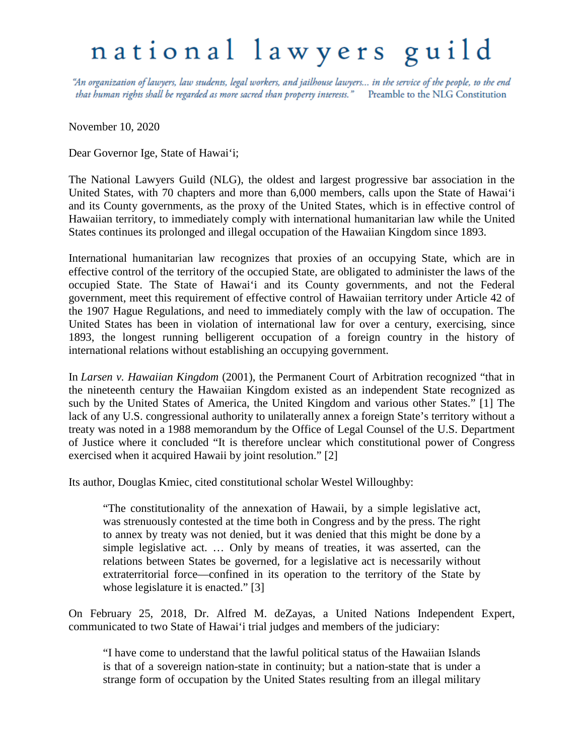## national lawyers guild

"An organization of lawyers, law students, legal workers, and jailhouse lawyers... in the service of the people, to the end that human rights shall be regarded as more sacred than property interests." Preamble to the NLG Constitution

November 10, 2020

Dear Governor Ige, State of Hawai'i;

The National Lawyers Guild (NLG), the oldest and largest progressive bar association in the United States, with 70 chapters and more than 6,000 members, calls upon the State of Hawai'i and its County governments, as the proxy of the United States, which is in effective control of Hawaiian territory, to immediately comply with international humanitarian law while the United States continues its prolonged and illegal occupation of the Hawaiian Kingdom since 1893.

International humanitarian law recognizes that proxies of an occupying State, which are in effective control of the territory of the occupied State, are obligated to administer the laws of the occupied State. The State of Hawai'i and its County governments, and not the Federal government, meet this requirement of effective control of Hawaiian territory under Article 42 of the 1907 Hague Regulations, and need to immediately comply with the law of occupation. The United States has been in violation of international law for over a century, exercising, since 1893, the longest running belligerent occupation of a foreign country in the history of international relations without establishing an occupying government.

In *Larsen v. Hawaiian Kingdom* (2001), the Permanent Court of Arbitration recognized "that in the nineteenth century the Hawaiian Kingdom existed as an independent State recognized as such by the United States of America, the United Kingdom and various other States." [1] The lack of any U.S. congressional authority to unilaterally annex a foreign State's territory without a treaty was noted in a 1988 memorandum by the Office of Legal Counsel of the U.S. Department of Justice where it concluded "It is therefore unclear which constitutional power of Congress exercised when it acquired Hawaii by joint resolution." [2]

Its author, Douglas Kmiec, cited constitutional scholar Westel Willoughby:

"The constitutionality of the annexation of Hawaii, by a simple legislative act, was strenuously contested at the time both in Congress and by the press. The right to annex by treaty was not denied, but it was denied that this might be done by a simple legislative act. … Only by means of treaties, it was asserted, can the relations between States be governed, for a legislative act is necessarily without extraterritorial force—confined in its operation to the territory of the State by whose legislature it is enacted." [3]

On February 25, 2018, Dr. Alfred M. deZayas, a United Nations Independent Expert, communicated to two State of Hawai'i trial judges and members of the judiciary:

"I have come to understand that the lawful political status of the Hawaiian Islands is that of a sovereign nation-state in continuity; but a nation-state that is under a strange form of occupation by the United States resulting from an illegal military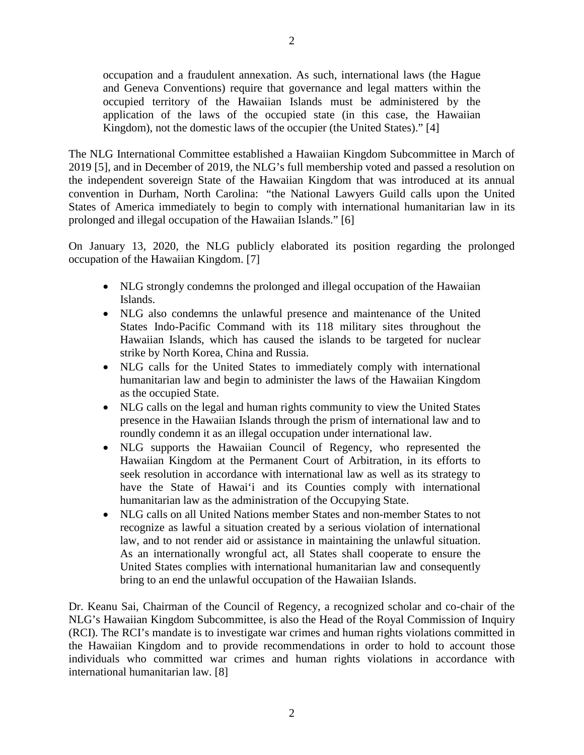occupation and a fraudulent annexation. As such, international laws (the Hague and Geneva Conventions) require that governance and legal matters within the occupied territory of the Hawaiian Islands must be administered by the application of the laws of the occupied state (in this case, the Hawaiian Kingdom), not the domestic laws of the occupier (the United States)." [4]

The NLG International Committee established a Hawaiian Kingdom Subcommittee in March of 2019 [5], and in December of 2019, the NLG's full membership voted and passed a resolution on the independent sovereign State of the Hawaiian Kingdom that was introduced at its annual convention in Durham, North Carolina: "the National Lawyers Guild calls upon the United States of America immediately to begin to comply with international humanitarian law in its prolonged and illegal occupation of the Hawaiian Islands." [6]

On January 13, 2020, the NLG publicly elaborated its position regarding the prolonged occupation of the Hawaiian Kingdom. [7]

- NLG strongly condemns the prolonged and illegal occupation of the Hawaiian Islands.
- NLG also condemns the unlawful presence and maintenance of the United States Indo-Pacific Command with its 118 military sites throughout the Hawaiian Islands, which has caused the islands to be targeted for nuclear strike by North Korea, China and Russia.
- NLG calls for the United States to immediately comply with international humanitarian law and begin to administer the laws of the Hawaiian Kingdom as the occupied State.
- NLG calls on the legal and human rights community to view the United States presence in the Hawaiian Islands through the prism of international law and to roundly condemn it as an illegal occupation under international law.
- NLG supports the Hawaiian Council of Regency, who represented the Hawaiian Kingdom at the Permanent Court of Arbitration, in its efforts to seek resolution in accordance with international law as well as its strategy to have the State of Hawai'i and its Counties comply with international humanitarian law as the administration of the Occupying State.
- NLG calls on all United Nations member States and non-member States to not recognize as lawful a situation created by a serious violation of international law, and to not render aid or assistance in maintaining the unlawful situation. As an internationally wrongful act, all States shall cooperate to ensure the United States complies with international humanitarian law and consequently bring to an end the unlawful occupation of the Hawaiian Islands.

Dr. Keanu Sai, Chairman of the Council of Regency, a recognized scholar and co-chair of the NLG's Hawaiian Kingdom Subcommittee, is also the Head of the Royal Commission of Inquiry (RCI). The RCI's mandate is to investigate war crimes and human rights violations committed in the Hawaiian Kingdom and to provide recommendations in order to hold to account those individuals who committed war crimes and human rights violations in accordance with international humanitarian law. [8]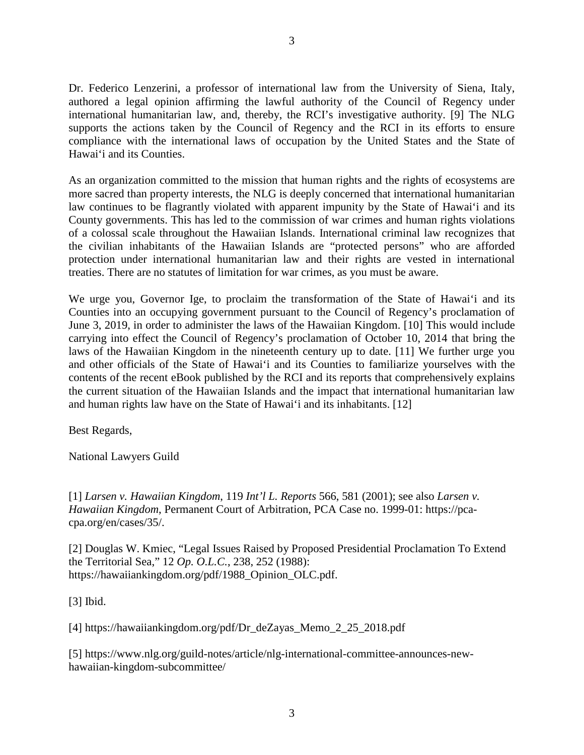Dr. Federico Lenzerini, a professor of international law from the University of Siena, Italy, authored a legal opinion affirming the lawful authority of the Council of Regency under international humanitarian law, and, thereby, the RCI's investigative authority. [9] The NLG supports the actions taken by the Council of Regency and the RCI in its efforts to ensure compliance with the international laws of occupation by the United States and the State of Hawai'i and its Counties.

As an organization committed to the mission that human rights and the rights of ecosystems are more sacred than property interests, the NLG is deeply concerned that international humanitarian law continues to be flagrantly violated with apparent impunity by the State of Hawai'i and its County governments. This has led to the commission of war crimes and human rights violations of a colossal scale throughout the Hawaiian Islands. International criminal law recognizes that the civilian inhabitants of the Hawaiian Islands are "protected persons" who are afforded protection under international humanitarian law and their rights are vested in international treaties. There are no statutes of limitation for war crimes, as you must be aware.

We urge you, Governor Ige, to proclaim the transformation of the State of Hawai'i and its Counties into an occupying government pursuant to the Council of Regency's proclamation of June 3, 2019, in order to administer the laws of the Hawaiian Kingdom. [10] This would include carrying into effect the Council of Regency's proclamation of October 10, 2014 that bring the laws of the Hawaiian Kingdom in the nineteenth century up to date. [11] We further urge you and other officials of the State of Hawai'i and its Counties to familiarize yourselves with the contents of the recent eBook published by the RCI and its reports that comprehensively explains the current situation of the Hawaiian Islands and the impact that international humanitarian law and human rights law have on the State of Hawai'i and its inhabitants. [12]

Best Regards,

National Lawyers Guild

[1] *Larsen v. Hawaiian Kingdom*, 119 *Int'l L. Reports* 566, 581 (2001); see also *Larsen v. Hawaiian Kingdom*, Permanent Court of Arbitration, PCA Case no. 1999-01: https://pcacpa.org/en/cases/35/.

[2] Douglas W. Kmiec, "Legal Issues Raised by Proposed Presidential Proclamation To Extend the Territorial Sea," 12 *Op. O.L.C.*, 238, 252 (1988): https://hawaiiankingdom.org/pdf/1988\_Opinion\_OLC.pdf.

[3] Ibid.

[4] https://hawaiiankingdom.org/pdf/Dr\_deZayas\_Memo\_2\_25\_2018.pdf

[5] https://www.nlg.org/guild-notes/article/nlg-international-committee-announces-newhawaiian-kingdom-subcommittee/